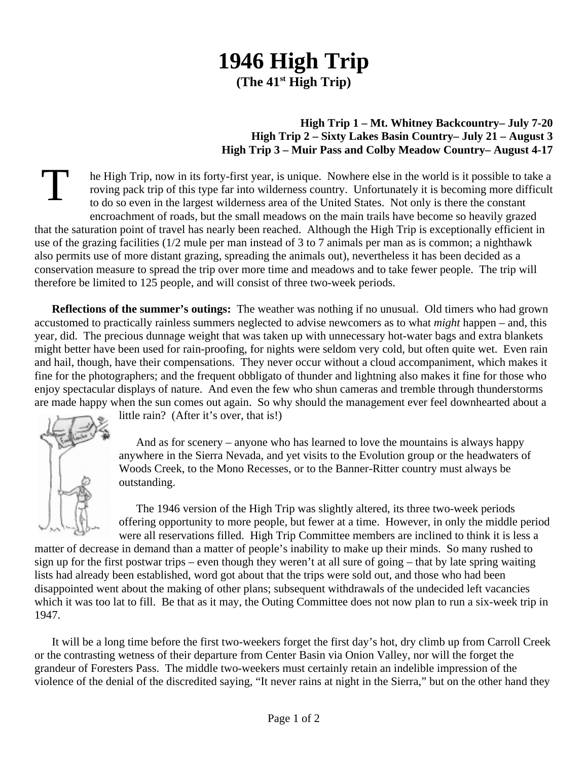## **1946 High Trip (The 41st High Trip)**

## **High Trip 1 – Mt. Whitney Backcountry– July 7-20 High Trip 2 – Sixty Lakes Basin Country– July 21 – August 3 High Trip 3 – Muir Pass and Colby Meadow Country– August 4-17**

T he High Trip, now in its forty-first year, is unique. Nowhere else in the world is it possible to take a roving pack trip of this type far into wilderness country. Unfortunately it is becoming more difficult to do so even in the largest wilderness area of the United States. Not only is there the constant encroachment of roads, but the small meadows on the main trails have become so heavily grazed that the saturation point of travel has nearly been reached. Although the High Trip is exceptionally efficient in use of the grazing facilities (1/2 mule per man instead of 3 to 7 animals per man as is common; a nighthawk also permits use of more distant grazing, spreading the animals out), nevertheless it has been decided as a conservation measure to spread the trip over more time and meadows and to take fewer people. The trip will therefore be limited to 125 people, and will consist of three two-week periods.

**Reflections of the summer's outings:** The weather was nothing if no unusual. Old timers who had grown accustomed to practically rainless summers neglected to advise newcomers as to what *might* happen – and, this year, did. The precious dunnage weight that was taken up with unnecessary hot-water bags and extra blankets might better have been used for rain-proofing, for nights were seldom very cold, but often quite wet. Even rain and hail, though, have their compensations. They never occur without a cloud accompaniment, which makes it fine for the photographers; and the frequent obbligato of thunder and lightning also makes it fine for those who enjoy spectacular displays of nature. And even the few who shun cameras and tremble through thunderstorms are made happy when the sun comes out again. So why should the management ever feel downhearted about a

little rain? (After it's over, that is!)

And as for scenery – anyone who has learned to love the mountains is always happy anywhere in the Sierra Nevada, and yet visits to the Evolution group or the headwaters of Woods Creek, to the Mono Recesses, or to the Banner-Ritter country must always be outstanding.

The 1946 version of the High Trip was slightly altered, its three two-week periods offering opportunity to more people, but fewer at a time. However, in only the middle period were all reservations filled. High Trip Committee members are inclined to think it is less a

matter of decrease in demand than a matter of people's inability to make up their minds. So many rushed to sign up for the first postwar trips – even though they weren't at all sure of going – that by late spring waiting lists had already been established, word got about that the trips were sold out, and those who had been disappointed went about the making of other plans; subsequent withdrawals of the undecided left vacancies which it was too lat to fill. Be that as it may, the Outing Committee does not now plan to run a six-week trip in 1947.

It will be a long time before the first two-weekers forget the first day's hot, dry climb up from Carroll Creek or the contrasting wetness of their departure from Center Basin via Onion Valley, nor will the forget the grandeur of Foresters Pass. The middle two-weekers must certainly retain an indelible impression of the violence of the denial of the discredited saying, "It never rains at night in the Sierra," but on the other hand they